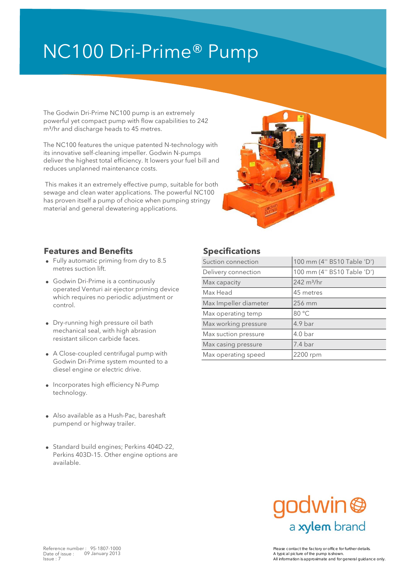# NC100 Dri-Prime® Pump

The Godwin Dri-Prime NC100 pump is an extremely powerful yet compact pump with flow capabilities to 242 m<sup>3</sup>/hr and discharge heads to 45 metres.

The NC100 features the unique patented N-technology with its innovative self-cleaning impeller. Godwin N-pumps deliver the highest total efficiency. It lowers your fuel bill and reduces unplanned maintenance costs.

 This makes it an extremely effective pump, suitable for both sewage and clean water applications. The powerful NC100 has proven itself a pump of choice when pumping stringy material and general dewatering applications.



### **Features and Benefits Specifications**

- metres suction lift.
- Godwin Dri-Prime is a continuously **Example 242** m<sup>3</sup>/hr operated Venturi air ejector priming device which requires no periodic adjustment or control.
- mechanical seal, with high abrasion resistant silicon carbide faces.
- A Close-coupled centrifugal pump with Max operating speed 2200 rpm Godwin Dri-Prime system mounted to a diesel engine or electric drive.
- Incorporates high efficiency N-Pump technology.
- Also available as a Hush-Pac, bareshaft pumpend or highway trailer.
- Standard build engines; Perkins 404D-22, Perkins 403D-15. Other engine options are available.

| • Fully automatic priming from dry to 8.5                                                                                                                                                                                                                      | Suction connection    | 100 mm (4" BS10 Table 'D')                         |  |  |
|----------------------------------------------------------------------------------------------------------------------------------------------------------------------------------------------------------------------------------------------------------------|-----------------------|----------------------------------------------------|--|--|
| metres suction lift.                                                                                                                                                                                                                                           | Delivery connection   | 100 mm (4" BS10 Table 'D')                         |  |  |
| • Godwin Dri-Prime is a continuously<br>operated Venturi air ejector priming device<br>which requires no periodic adjustment or<br>control.<br>• Dry-running high pressure oil bath<br>mechanical seal, with high abrasion<br>resistant silicon carbide faces. | Max capacity          | $242 \text{ m}^3/\text{hr}$                        |  |  |
|                                                                                                                                                                                                                                                                | Max Head              | 45 metres                                          |  |  |
|                                                                                                                                                                                                                                                                | Max Impeller diameter | 256 mm                                             |  |  |
|                                                                                                                                                                                                                                                                | Max operating temp    | 80 °C                                              |  |  |
|                                                                                                                                                                                                                                                                | Max working pressure  | 4.9 bar<br>4.0 <sub>bar</sub><br>$7.4 \text{ bar}$ |  |  |
|                                                                                                                                                                                                                                                                | Max suction pressure  |                                                    |  |  |
|                                                                                                                                                                                                                                                                | Max casing pressure   |                                                    |  |  |
| • A Close-coupled centrifugal pump with<br>Coduin Dri Primo quotam mountad to a                                                                                                                                                                                | Max operating speed   | 2200 rpm                                           |  |  |
|                                                                                                                                                                                                                                                                |                       |                                                    |  |  |



Reference number : 95-1807-1000<br>Date of issue : 09 January 2013 Please contact the factory or office for further details. All information is approximate and for general guidance only.